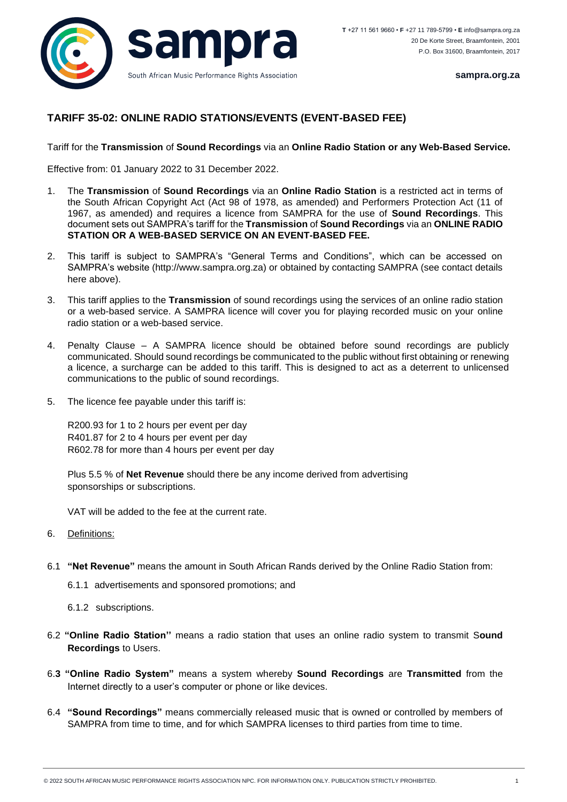

**sampra.org.za**

## **TARIFF 35-02: ONLINE RADIO STATIONS/EVENTS (EVENT-BASED FEE)**

Tariff for the **Transmission** of **Sound Recordings** via an **Online Radio Station or any Web-Based Service.**

Effective from: 01 January 2022 to 31 December 2022.

- 1. The **Transmission** of **Sound Recordings** via an **Online Radio Station** is a restricted act in terms of the South African Copyright Act (Act 98 of 1978, as amended) and Performers Protection Act (11 of 1967, as amended) and requires a licence from SAMPRA for the use of **Sound Recordings**. This document sets out SAMPRA's tariff for the **Transmission** of **Sound Recordings** via an **ONLINE RADIO STATION OR A WEB-BASED SERVICE ON AN EVENT-BASED FEE.**
- 2. This tariff is subject to SAMPRA's "General Terms and Conditions", which can be accessed on SAMPRA's website (http://www.sampra.org.za) or obtained by contacting SAMPRA (see contact details here above).
- 3. This tariff applies to the **Transmission** of sound recordings using the services of an online radio station or a web-based service. A SAMPRA licence will cover you for playing recorded music on your online radio station or a web-based service.
- 4. Penalty Clause A SAMPRA licence should be obtained before sound recordings are publicly communicated. Should sound recordings be communicated to the public without first obtaining or renewing a licence, a surcharge can be added to this tariff. This is designed to act as a deterrent to unlicensed communications to the public of sound recordings.
- 5. The licence fee payable under this tariff is:

R200.93 for 1 to 2 hours per event per day R401.87 for 2 to 4 hours per event per day R602.78 for more than 4 hours per event per day

Plus 5.5 % of **Net Revenue** should there be any income derived from advertising sponsorships or subscriptions.

VAT will be added to the fee at the current rate.

- 6. Definitions:
- 6.1 **"Net Revenue"** means the amount in South African Rands derived by the Online Radio Station from:
	- 6.1.1 advertisements and sponsored promotions; and
	- 6.1.2 subscriptions.
- 6.2 **"Online Radio Station''** means a radio station that uses an online radio system to transmit S**ound Recordings** to Users.
- 6.**3 "Online Radio System"** means a system whereby **Sound Recordings** are **Transmitted** from the Internet directly to a user's computer or phone or like devices.
- 6.4 **"Sound Recordings"** means commercially released music that is owned or controlled by members of SAMPRA from time to time, and for which SAMPRA licenses to third parties from time to time.